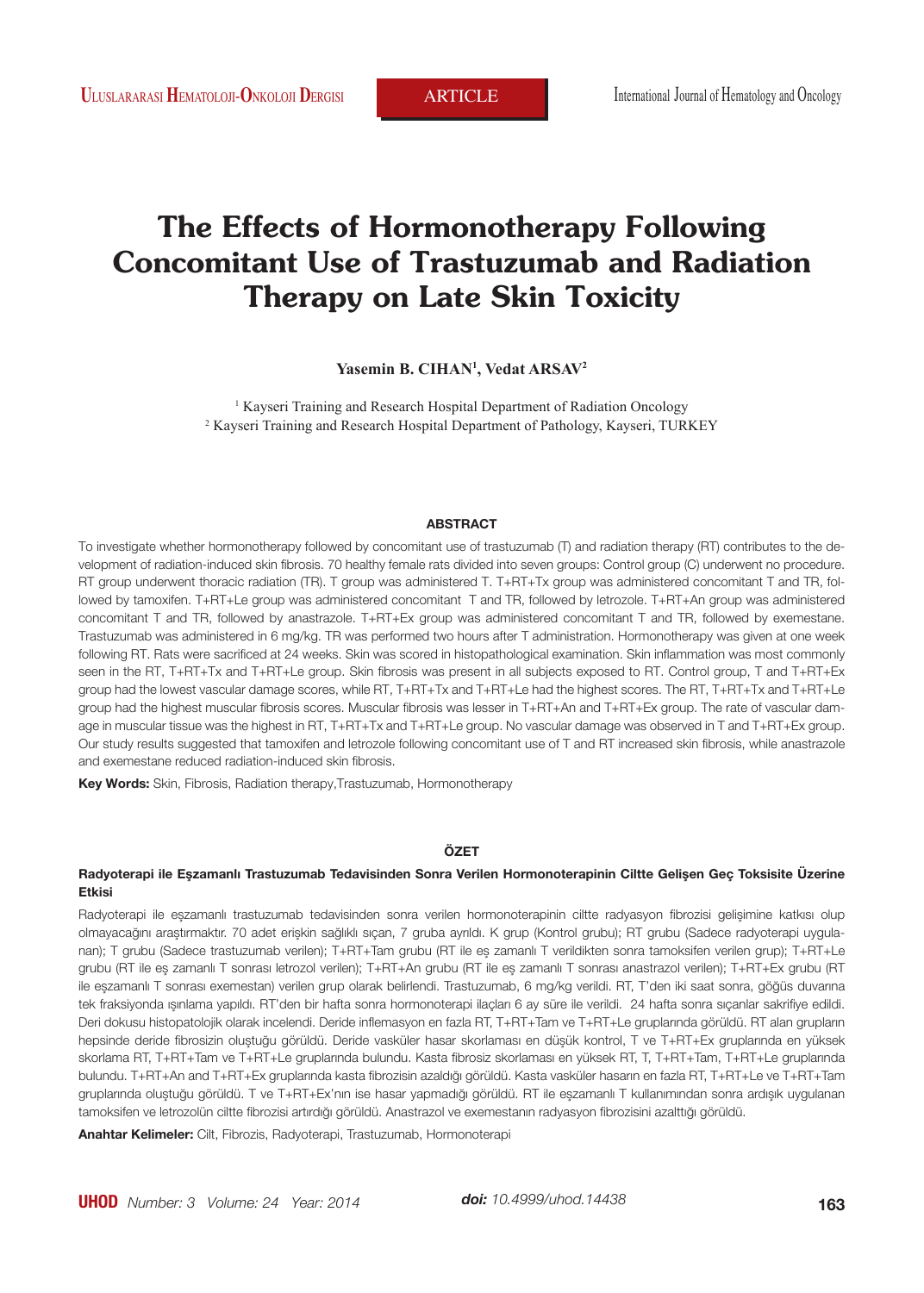# **The Effects of Hormonotherapy Following Concomitant Use of Trastuzumab and Radiation Therapy on Late Skin Toxicity**

**Yasemin B. CIHAN1 , Vedat ARSAV2**

<sup>1</sup> Kayseri Training and Research Hospital Department of Radiation Oncology 2 Kayseri Training and Research Hospital Department of Pathology, Kayseri, TURKEY

#### **ABSTRACT**

To investigate whether hormonotherapy followed by concomitant use of trastuzumab (T) and radiation therapy (RT) contributes to the development of radiation-induced skin fibrosis. 70 healthy female rats divided into seven groups: Control group (C) underwent no procedure. RT group underwent thoracic radiation (TR). T group was administered T. T+RT+Tx group was administered concomitant T and TR, followed by tamoxifen. T+RT+Le group was administered concomitant T and TR, followed by letrozole. T+RT+An group was administered concomitant T and TR, followed by anastrazole. T+RT+Ex group was administered concomitant T and TR, followed by exemestane. Trastuzumab was administered in 6 mg/kg. TR was performed two hours after T administration. Hormonotherapy was given at one week following RT. Rats were sacrificed at 24 weeks. Skin was scored in histopathological examination. Skin inflammation was most commonly seen in the RT, T+RT+Tx and T+RT+Le group. Skin fibrosis was present in all subjects exposed to RT. Control group, T and T+RT+Ex group had the lowest vascular damage scores, while RT, T+RT+Tx and T+RT+Le had the highest scores. The RT, T+RT+Tx and T+RT+Le group had the highest muscular fibrosis scores. Muscular fibrosis was lesser in T+RT+An and T+RT+Ex group. The rate of vascular damage in muscular tissue was the highest in RT, T+RT+Tx and T+RT+Le group. No vascular damage was observed in T and T+RT+Ex group. Our study results suggested that tamoxifen and letrozole following concomitant use of T and RT increased skin fibrosis, while anastrazole and exemestane reduced radiation-induced skin fibrosis.

**Key Words:** Skin, Fibrosis, Radiation therapy,Trastuzumab, Hormonotherapy

#### **ÖZET**

#### **Radyoterapi ile Eşzamanlı Trastuzumab Tedavisinden Sonra Verilen Hormonoterapinin Ciltte Gelişen Geç Toksisite Üzerine Etkisi**

Radyoterapi ile eşzamanlı trastuzumab tedavisinden sonra verilen hormonoterapinin ciltte radyasyon fibrozisi gelişimine katkısı olup olmayacağını araştırmaktır. 70 adet erişkin sağlıklı sıçan, 7 gruba ayrıldı. K grup (Kontrol grubu); RT grubu (Sadece radyoterapi uygulanan); T grubu (Sadece trastuzumab verilen); T+RT+Tam grubu (RT ile eş zamanlı T verildikten sonra tamoksifen verilen grup); T+RT+Le grubu (RT ile eş zamanlı T sonrası letrozol verilen); T+RT+An grubu (RT ile eş zamanlı T sonrası anastrazol verilen); T+RT+Ex grubu (RT ile eşzamanlı T sonrası exemestan) verilen grup olarak belirlendi. Trastuzumab, 6 mg/kg verildi. RT, T'den iki saat sonra, göğüs duvarına tek fraksiyonda ışınlama yapıldı. RT'den bir hafta sonra hormonoterapi ilaçları 6 ay süre ile verildi. 24 hafta sonra sıçanlar sakrifiye edildi. Deri dokusu histopatolojik olarak incelendi. Deride inflemasyon en fazla RT, T+RT+Tam ve T+RT+Le gruplarında görüldü. RT alan grupların hepsinde deride fibrosizin oluştuğu görüldü. Deride vasküler hasar skorlaması en düşük kontrol, T ve T+RT+Ex gruplarında en yüksek skorlama RT, T+RT+Tam ve T+RT+Le gruplarında bulundu. Kasta fibrosiz skorlaması en yüksek RT, T, T+RT+Tam, T+RT+Le gruplarında bulundu. T+RT+An and T+RT+Ex gruplarında kasta fibrozisin azaldığı görüldü. Kasta vasküler hasarın en fazla RT, T+RT+Le ve T+RT+Tam gruplarında oluştuğu görüldü. T ve T+RT+Ex'nın ise hasar yapmadığı görüldü. RT ile eşzamanlı T kullanımından sonra ardışık uygulanan tamoksifen ve letrozolün ciltte fibrozisi artırdığı görüldü. Anastrazol ve exemestanın radyasyon fibrozisini azalttığı görüldü.

**Anahtar Kelimeler:** Cilt, Fibrozis, Radyoterapi, Trastuzumab, Hormonoterapi

*doi: 10.4999/uhod.14438*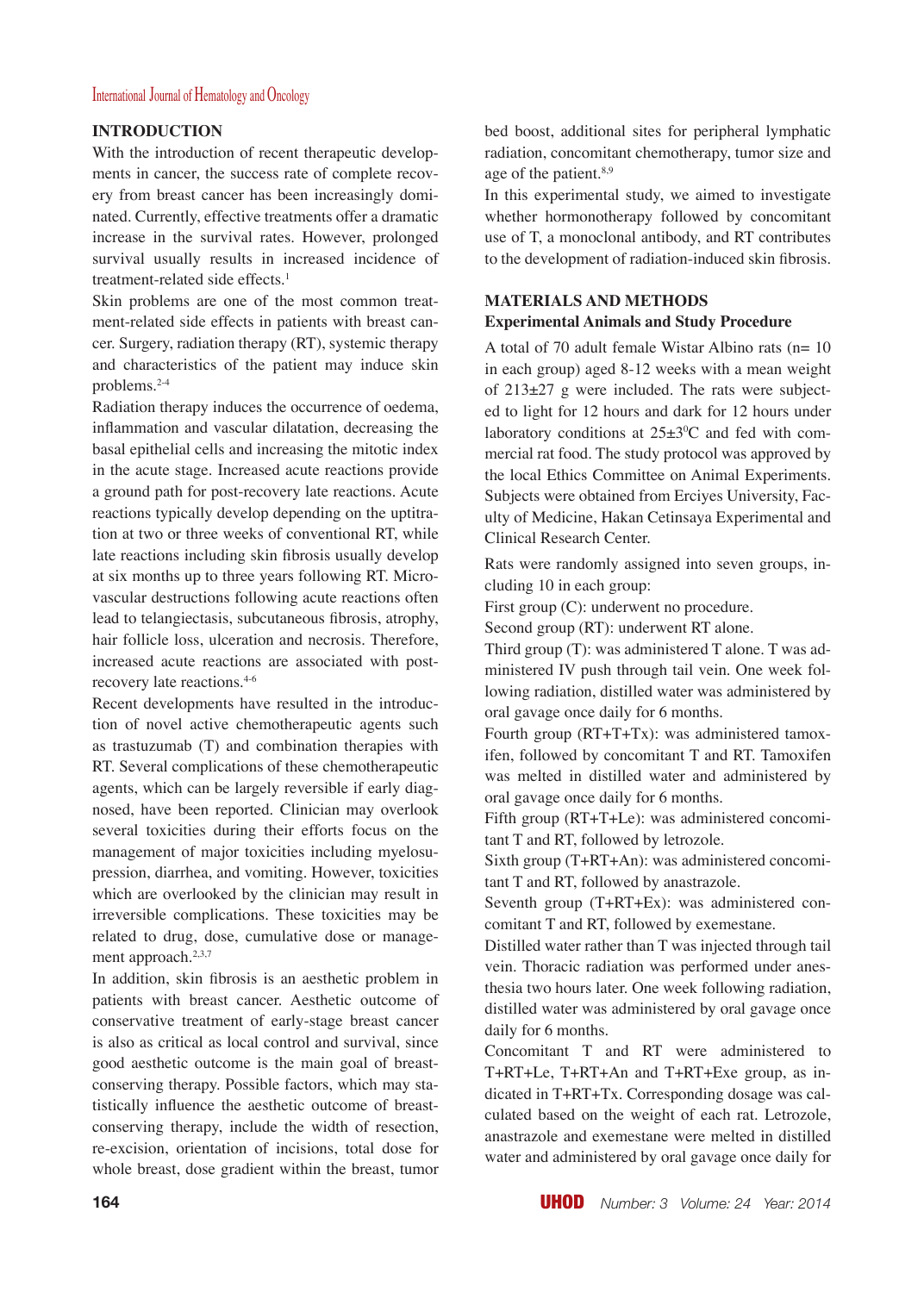#### **INTRODUCTION**

With the introduction of recent therapeutic developments in cancer, the success rate of complete recovery from breast cancer has been increasingly dominated. Currently, effective treatments offer a dramatic increase in the survival rates. However, prolonged survival usually results in increased incidence of treatment-related side effects.<sup>1</sup>

Skin problems are one of the most common treatment-related side effects in patients with breast cancer. Surgery, radiation therapy (RT), systemic therapy and characteristics of the patient may induce skin problems.2-4

Radiation therapy induces the occurrence of oedema, inflammation and vascular dilatation, decreasing the basal epithelial cells and increasing the mitotic index in the acute stage. Increased acute reactions provide a ground path for post-recovery late reactions. Acute reactions typically develop depending on the uptitration at two or three weeks of conventional RT, while late reactions including skin fibrosis usually develop at six months up to three years following RT. Microvascular destructions following acute reactions often lead to telangiectasis, subcutaneous fibrosis, atrophy, hair follicle loss, ulceration and necrosis. Therefore, increased acute reactions are associated with postrecovery late reactions.4-6

Recent developments have resulted in the introduction of novel active chemotherapeutic agents such as trastuzumab (T) and combination therapies with RT. Several complications of these chemotherapeutic agents, which can be largely reversible if early diagnosed, have been reported. Clinician may overlook several toxicities during their efforts focus on the management of major toxicities including myelosupression, diarrhea, and vomiting. However, toxicities which are overlooked by the clinician may result in irreversible complications. These toxicities may be related to drug, dose, cumulative dose or management approach.2,3,7

In addition, skin fibrosis is an aesthetic problem in patients with breast cancer. Aesthetic outcome of conservative treatment of early-stage breast cancer is also as critical as local control and survival, since good aesthetic outcome is the main goal of breastconserving therapy. Possible factors, which may statistically influence the aesthetic outcome of breastconserving therapy, include the width of resection, re-excision, orientation of incisions, total dose for whole breast, dose gradient within the breast, tumor

bed boost, additional sites for peripheral lymphatic radiation, concomitant chemotherapy, tumor size and age of the patient.<sup>8,9</sup>

In this experimental study, we aimed to investigate whether hormonotherapy followed by concomitant use of T, a monoclonal antibody, and RT contributes to the development of radiation-induced skin fibrosis.

### **MATERIALS AND METHODS Experimental Animals and Study Procedure**

A total of 70 adult female Wistar Albino rats ( $n=10$ ) in each group) aged 8-12 weeks with a mean weight of  $213\pm27$  g were included. The rats were subjected to light for 12 hours and dark for 12 hours under laboratory conditions at  $25\pm3\degree C$  and fed with commercial rat food. The study protocol was approved by the local Ethics Committee on Animal Experiments. Subjects were obtained from Erciyes University, Faculty of Medicine, Hakan Cetinsaya Experimental and Clinical Research Center.

Rats were randomly assigned into seven groups, including 10 in each group:

First group (C): underwent no procedure.

Second group (RT): underwent RT alone.

Third group (T): was administered T alone. T was administered IV push through tail vein. One week following radiation, distilled water was administered by oral gavage once daily for 6 months.

Fourth group (RT+T+Tx): was administered tamoxifen, followed by concomitant T and RT. Tamoxifen was melted in distilled water and administered by oral gavage once daily for 6 months.

Fifth group (RT+T+Le): was administered concomitant T and RT, followed by letrozole.

Sixth group (T+RT+An): was administered concomitant T and RT, followed by anastrazole.

Seventh group (T+RT+Ex): was administered concomitant T and RT, followed by exemestane.

Distilled water rather than T was injected through tail vein. Thoracic radiation was performed under anesthesia two hours later. One week following radiation, distilled water was administered by oral gavage once daily for 6 months.

Concomitant T and RT were administered to T+RT+Le, T+RT+An and T+RT+Exe group, as indicated in T+RT+Tx. Corresponding dosage was calculated based on the weight of each rat. Letrozole, anastrazole and exemestane were melted in distilled water and administered by oral gavage once daily for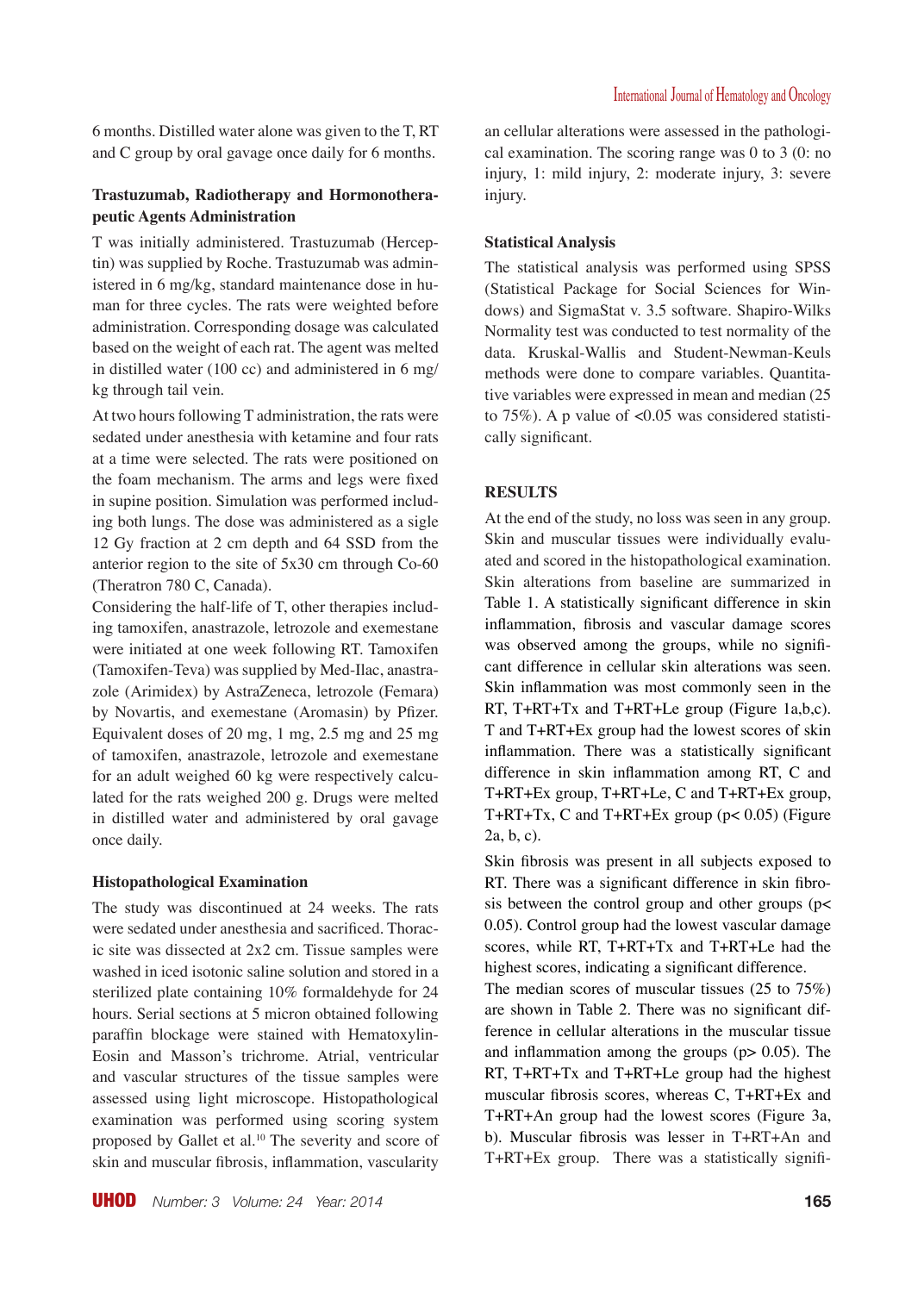6 months. Distilled water alone was given to the T, RT and C group by oral gavage once daily for 6 months.

## **Trastuzumab, Radiotherapy and Hormonotherapeutic Agents Administration**

T was initially administered. Trastuzumab (Herceptin) was supplied by Roche. Trastuzumab was administered in 6 mg/kg, standard maintenance dose in human for three cycles. The rats were weighted before administration. Corresponding dosage was calculated based on the weight of each rat. The agent was melted in distilled water (100 cc) and administered in 6 mg/ kg through tail vein.

At two hours following T administration, the rats were sedated under anesthesia with ketamine and four rats at a time were selected. The rats were positioned on the foam mechanism. The arms and legs were fixed in supine position. Simulation was performed including both lungs. The dose was administered as a sigle 12 Gy fraction at 2 cm depth and 64 SSD from the anterior region to the site of 5x30 cm through Co-60 (Theratron 780 C, Canada).

Considering the half-life of T, other therapies including tamoxifen, anastrazole, letrozole and exemestane were initiated at one week following RT. Tamoxifen (Tamoxifen-Teva) was supplied by Med-Ilac, anastrazole (Arimidex) by AstraZeneca, letrozole (Femara) by Novartis, and exemestane (Aromasin) by Pfizer. Equivalent doses of 20 mg, 1 mg, 2.5 mg and 25 mg of tamoxifen, anastrazole, letrozole and exemestane for an adult weighed 60 kg were respectively calculated for the rats weighed 200 g. Drugs were melted in distilled water and administered by oral gavage once daily.

#### **Histopathological Examination**

The study was discontinued at 24 weeks. The rats were sedated under anesthesia and sacrificed. Thoracic site was dissected at 2x2 cm. Tissue samples were washed in iced isotonic saline solution and stored in a sterilized plate containing 10% formaldehyde for 24 hours. Serial sections at 5 micron obtained following paraffin blockage were stained with Hematoxylin-Eosin and Masson's trichrome. Atrial, ventricular and vascular structures of the tissue samples were assessed using light microscope. Histopathological examination was performed using scoring system proposed by Gallet et al.<sup>10</sup> The severity and score of skin and muscular fibrosis, inflammation, vascularity an cellular alterations were assessed in the pathological examination. The scoring range was 0 to 3 (0: no injury, 1: mild injury, 2: moderate injury, 3: severe injury.

#### **Statistical Analysis**

The statistical analysis was performed using SPSS (Statistical Package for Social Sciences for Windows) and SigmaStat v. 3.5 software. Shapiro-Wilks Normality test was conducted to test normality of the data. Kruskal-Wallis and Student-Newman-Keuls methods were done to compare variables. Quantitative variables were expressed in mean and median (25 to 75%). A p value of <0.05 was considered statistically significant.

#### **RESULTS**

At the end of the study, no loss was seen in any group. Skin and muscular tissues were individually evaluated and scored in the histopathological examination. Skin alterations from baseline are summarized in Table 1. A statistically significant difference in skin inflammation, fibrosis and vascular damage scores was observed among the groups, while no significant difference in cellular skin alterations was seen. Skin inflammation was most commonly seen in the RT, T+RT+Tx and T+RT+Le group (Figure 1a,b,c). T and T+RT+Ex group had the lowest scores of skin inflammation. There was a statistically significant difference in skin inflammation among RT, C and T+RT+Ex group, T+RT+Le, C and T+RT+Ex group, T+RT+Tx, C and T+RT+Ex group (p< 0.05) (Figure 2a, b, c).

Skin fibrosis was present in all subjects exposed to RT. There was a significant difference in skin fibrosis between the control group and other groups ( $p$ < 0.05). Control group had the lowest vascular damage scores, while RT, T+RT+Tx and T+RT+Le had the highest scores, indicating a significant difference.

The median scores of muscular tissues (25 to 75%) are shown in Table 2. There was no significant difference in cellular alterations in the muscular tissue and inflammation among the groups  $(p > 0.05)$ . The RT, T+RT+Tx and T+RT+Le group had the highest muscular fibrosis scores, whereas C, T+RT+Ex and T+RT+An group had the lowest scores (Figure 3a, b). Muscular fibrosis was lesser in T+RT+An and T+RT+Ex group. There was a statistically signifi-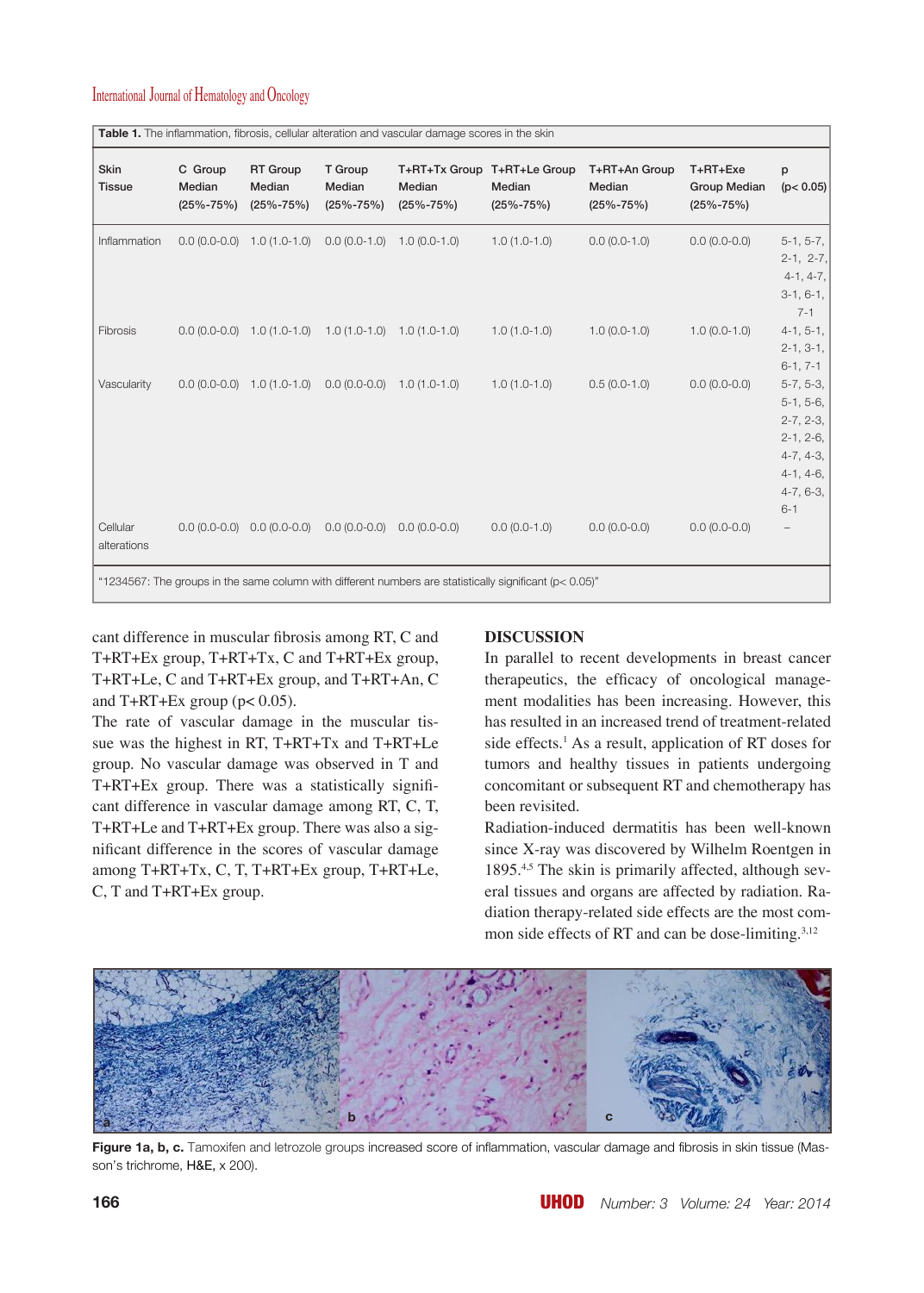| <b>Skin</b><br><b>Tissue</b> | C Group<br>Median<br>$(25\% - 75\%)$ | <b>RT</b> Group<br>Median<br>$(25\% - 75\%)$    | T Group<br>Median<br>$(25\% - 75\%)$                            | Median<br>$(25\% - 75\%)$ | T+RT+Tx Group T+RT+Le Group<br>Median<br>$(25\% - 75\%)$ | T+RT+An Group<br>Median<br>$(25\% - 75\%)$ | T+RT+Exe<br><b>Group Median</b><br>$(25\% - 75\%)$ | p<br>(p < 0.05)                                                                                                  |
|------------------------------|--------------------------------------|-------------------------------------------------|-----------------------------------------------------------------|---------------------------|----------------------------------------------------------|--------------------------------------------|----------------------------------------------------|------------------------------------------------------------------------------------------------------------------|
| Inflammation                 |                                      | $0.0(0.0-0.0)$ 1.0 $(1.0-1.0)$                  | $0.0(0.0-1.0)$                                                  | $1.0(0.0-1.0)$            | $1.0(1.0-1.0)$                                           | $0.0 (0.0 - 1.0)$                          | $0.0(0.0-0.0)$                                     | $5-1, 5-7,$<br>$2-1, 2-7,$<br>$4-1, 4-7,$<br>$3-1, 6-1,$<br>$7 - 1$                                              |
| Fibrosis                     |                                      |                                                 | $0.0 (0.0-0.0)$ 1.0 $(1.0-1.0)$ 1.0 $(1.0-1.0)$ 1.0 $(1.0-1.0)$ |                           | $1.0(1.0-1.0)$                                           | $1.0(0.0-1.0)$                             | $1.0(0.0-1.0)$                                     | $4-1, 5-1,$<br>$2-1, 3-1,$<br>$6-1, 7-1$                                                                         |
| Vascularity                  |                                      | $0.0 (0.0-0.0)$ 1.0 $(1.0-1.0)$ 0.0 $(0.0-0.0)$ |                                                                 | $1.0(1.0-1.0)$            | $1.0(1.0-1.0)$                                           | $0.5(0.0-1.0)$                             | $0.0(0.0-0.0)$                                     | $5-7, 5-3,$<br>$5-1, 5-6,$<br>$2-7, 2-3,$<br>$2-1, 2-6,$<br>$4-7, 4-3,$<br>$4-1, 4-6,$<br>$4-7, 6-3,$<br>$6 - 1$ |
| Cellular<br>alterations      |                                      | $0.0(0.0-0.0)$ $0.0(0.0-0.0)$                   | $0.0(0.0-0.0)$                                                  | $0.0(0.0-0.0)$            | $0.0(0.0-1.0)$                                           | $0.0 (0.0 - 0.0)$                          | $0.0(0.0-0.0)$                                     | -                                                                                                                |

cant difference in muscular fibrosis among RT, C and T+RT+Ex group, T+RT+Tx, C and T+RT+Ex group, T+RT+Le, C and T+RT+Ex group, and T+RT+An, C and  $T+RT+Ex$  group ( $p < 0.05$ ).

The rate of vascular damage in the muscular tissue was the highest in RT, T+RT+Tx and T+RT+Le group. No vascular damage was observed in T and T+RT+Ex group. There was a statistically significant difference in vascular damage among RT, C, T, T+RT+Le and T+RT+Ex group. There was also a significant difference in the scores of vascular damage among T+RT+Tx, C, T, T+RT+Ex group, T+RT+Le, C, T and T+RT+Ex group.

#### **DISCUSSION**

In parallel to recent developments in breast cancer therapeutics, the efficacy of oncological management modalities has been increasing. However, this has resulted in an increased trend of treatment-related side effects.<sup>1</sup> As a result, application of RT doses for tumors and healthy tissues in patients undergoing concomitant or subsequent RT and chemotherapy has been revisited.

Radiation-induced dermatitis has been well-known since X-ray was discovered by Wilhelm Roentgen in 1895.<sup>4,5</sup> The skin is primarily affected, although several tissues and organs are affected by radiation. Radiation therapy-related side effects are the most common side effects of RT and can be dose-limiting.<sup>3,12</sup>



Figure 1a, b, c. Tamoxifen and letrozole groups increased score of inflammation, vascular damage and fibrosis in skin tissue (Masson's trichrome, H&E, x 200).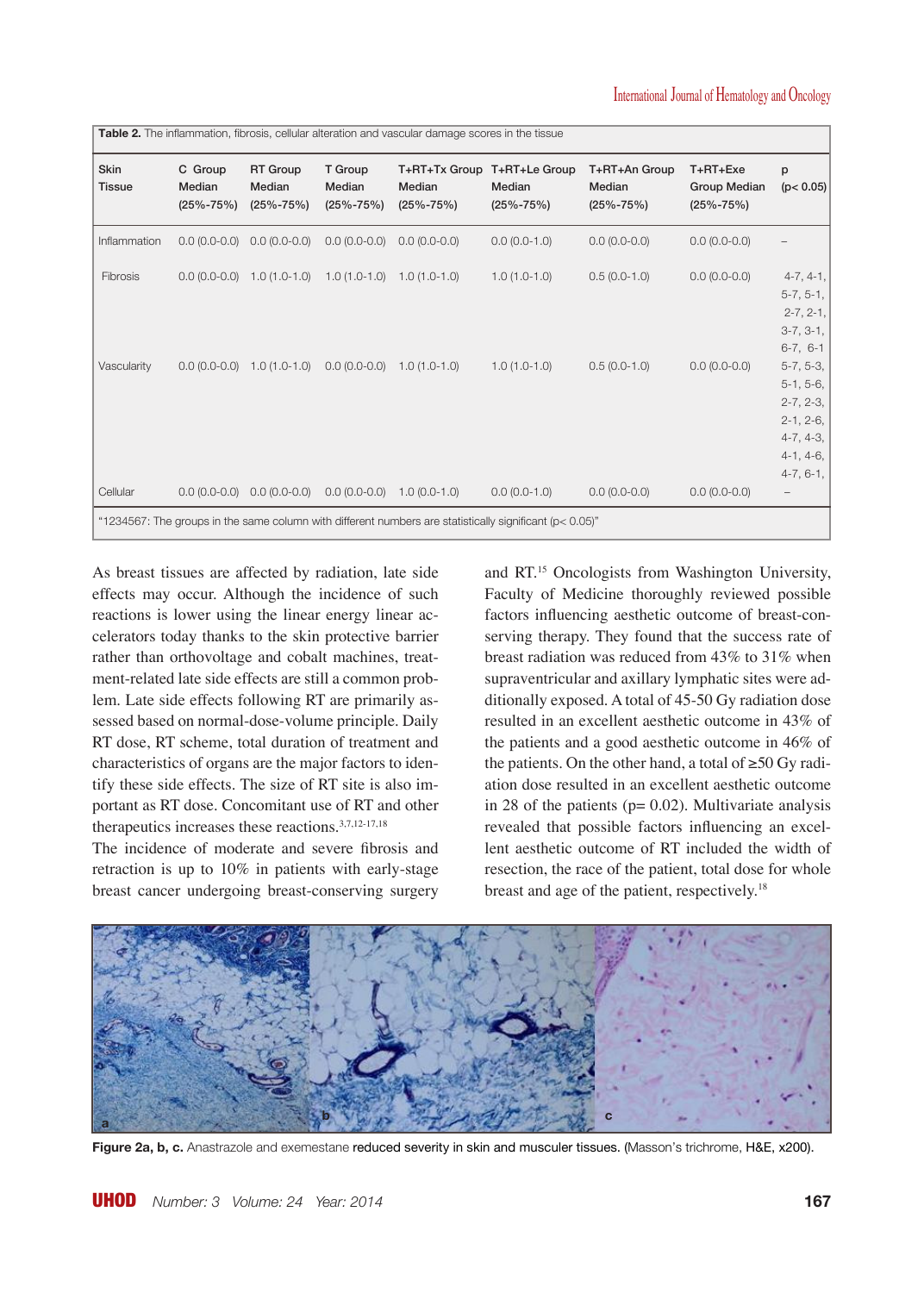| Table 2. The inflammation, fibrosis, cellular alteration and vascular damage scores in the tissue           |                                      |                                                                                          |                                      |                                            |                                            |                                            |                                                    |                                                                                        |  |  |  |
|-------------------------------------------------------------------------------------------------------------|--------------------------------------|------------------------------------------------------------------------------------------|--------------------------------------|--------------------------------------------|--------------------------------------------|--------------------------------------------|----------------------------------------------------|----------------------------------------------------------------------------------------|--|--|--|
| Skin<br><b>Tissue</b>                                                                                       | C Group<br>Median<br>$(25\% - 75\%)$ | <b>RT Group</b><br>Median<br>$(25\% - 75\%)$                                             | T Group<br>Median<br>$(25\% - 75\%)$ | T+RT+Tx Group<br>Median<br>$(25\% - 75\%)$ | T+RT+Le Group<br>Median<br>$(25\% - 75\%)$ | T+RT+An Group<br>Median<br>$(25\% - 75\%)$ | T+RT+Exe<br><b>Group Median</b><br>$(25\% - 75\%)$ | p<br>(p < 0.05)                                                                        |  |  |  |
| Inflammation                                                                                                |                                      | $0.0(0.0-0.0)$ $0.0(0.0-0.0)$                                                            | $0.0(0.0-0.0)$                       | $0.0(0.0-0.0)$                             | $0.0(0.0-1.0)$                             | $0.0 (0.0 - 0.0)$                          | $0.0(0.0-0.0)$                                     |                                                                                        |  |  |  |
| Fibrosis<br>Vascularity                                                                                     |                                      | $0.0 (0.0 - 0.0)$ 1.0 $(1.0 - 1.0)$ 1.0 $(1.0 - 1.0)$<br>$0.0 (0.0-0.0)$ 1.0 $(1.0-1.0)$ | $0.0(0.0-0.0)$                       | $1.0(1.0-1.0)$<br>$1.0(1.0-1.0)$           | $1.0(1.0-1.0)$<br>$1.0(1.0-1.0)$           | $0.5(0.0-1.0)$<br>$0.5(0.0-1.0)$           | $0.0(0.0-0.0)$<br>$0.0(0.0-0.0)$                   | $4-7, 4-1,$<br>$5-7, 5-1,$<br>$2-7, 2-1,$<br>$3-7, 3-1,$<br>$6-7, 6-1$<br>$5-7, 5-3,$  |  |  |  |
|                                                                                                             |                                      |                                                                                          |                                      |                                            |                                            |                                            |                                                    | $5-1, 5-6,$<br>$2-7, 2-3,$<br>$2-1, 2-6,$<br>$4-7, 4-3,$<br>$4-1, 4-6,$<br>$4-7, 6-1,$ |  |  |  |
| Cellular                                                                                                    |                                      | $0.0 (0.0-0.0)$ 0.0 $(0.0-0.0)$                                                          | $0.0(0.0-0.0)$                       | $1.0(0.0-1.0)$                             | $0.0 (0.0 - 1.0)$                          | $0.0 (0.0 - 0.0)$                          | $0.0(0.0-0.0)$                                     | -                                                                                      |  |  |  |
| "1234567: The groups in the same column with different numbers are statistically significant ( $p$ < 0.05)" |                                      |                                                                                          |                                      |                                            |                                            |                                            |                                                    |                                                                                        |  |  |  |

As breast tissues are affected by radiation, late side effects may occur. Although the incidence of such reactions is lower using the linear energy linear accelerators today thanks to the skin protective barrier rather than orthovoltage and cobalt machines, treatment-related late side effects are still a common problem. Late side effects following RT are primarily assessed based on normal-dose-volume principle. Daily RT dose, RT scheme, total duration of treatment and characteristics of organs are the major factors to identify these side effects. The size of RT site is also important as RT dose. Concomitant use of RT and other therapeutics increases these reactions.3,7,12-17,18

The incidence of moderate and severe fibrosis and retraction is up to 10% in patients with early-stage breast cancer undergoing breast-conserving surgery

and RT.15 Oncologists from Washington University, Faculty of Medicine thoroughly reviewed possible factors influencing aesthetic outcome of breast-conserving therapy. They found that the success rate of breast radiation was reduced from 43% to 31% when supraventricular and axillary lymphatic sites were additionally exposed. A total of 45-50 Gy radiation dose resulted in an excellent aesthetic outcome in 43% of the patients and a good aesthetic outcome in 46% of the patients. On the other hand, a total of ≥50 Gy radiation dose resulted in an excellent aesthetic outcome in 28 of the patients ( $p= 0.02$ ). Multivariate analysis revealed that possible factors influencing an excellent aesthetic outcome of RT included the width of resection, the race of the patient, total dose for whole breast and age of the patient, respectively.18



Figure 2a, b, c. Anastrazole and exemestane reduced severity in skin and musculer tissues. (Masson's trichrome, H&E, x200).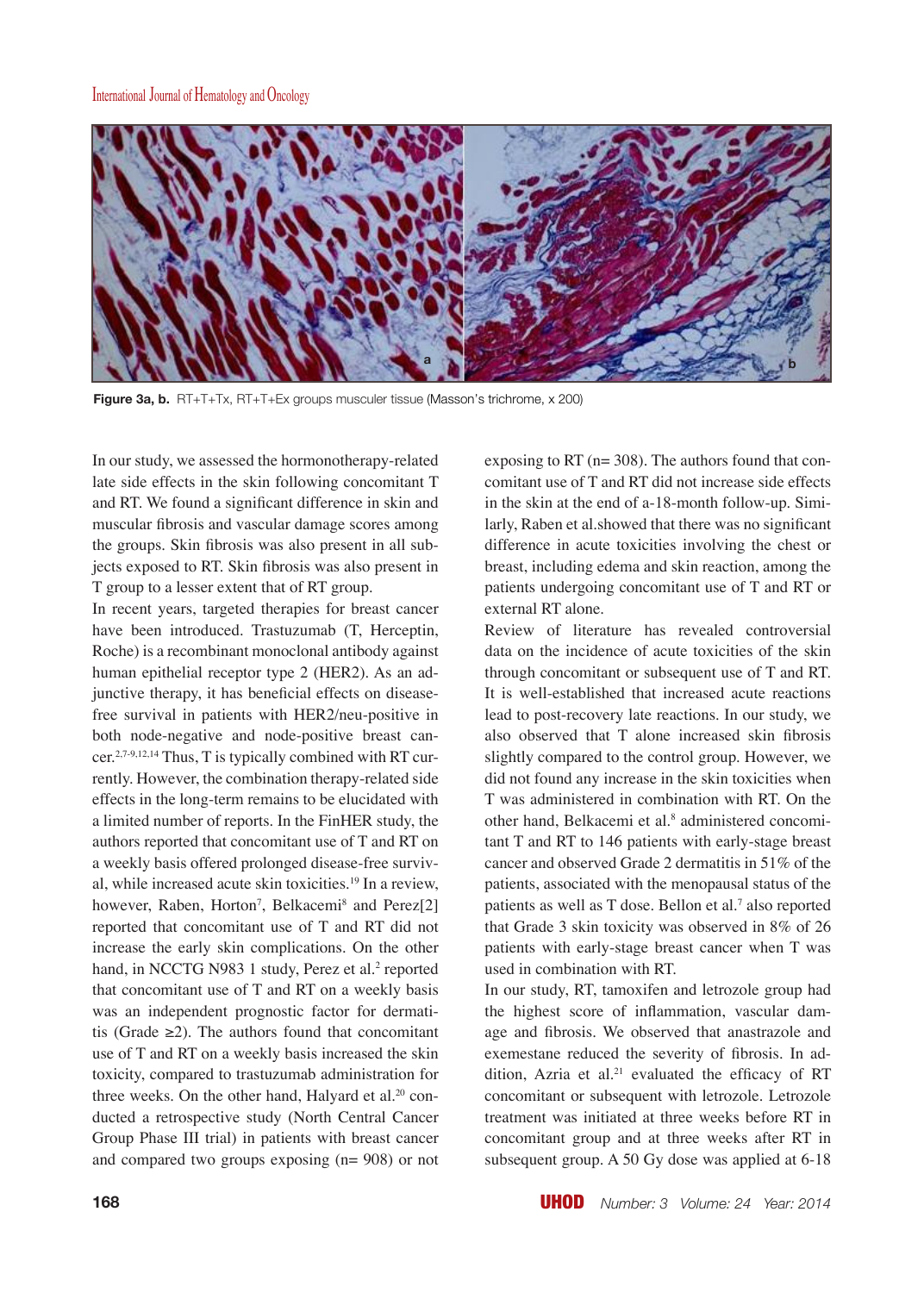

**Figure 3a, b.** RT+T+Tx, RT+T+Ex groups musculer tissue (Masson's trichrome, x 200)

In our study, we assessed the hormonotherapy-related late side effects in the skin following concomitant T and RT. We found a significant difference in skin and muscular fibrosis and vascular damage scores among the groups. Skin fibrosis was also present in all subjects exposed to RT. Skin fibrosis was also present in T group to a lesser extent that of RT group.

In recent years, targeted therapies for breast cancer have been introduced. Trastuzumab (T, Herceptin, Roche) is a recombinant monoclonal antibody against human epithelial receptor type 2 (HER2). As an adjunctive therapy, it has beneficial effects on diseasefree survival in patients with HER2/neu-positive in both node-negative and node-positive breast cancer.2,7-9,12,14 Thus, T is typically combined with RT currently. However, the combination therapy-related side effects in the long-term remains to be elucidated with a limited number of reports. In the FinHER study, the authors reported that concomitant use of T and RT on a weekly basis offered prolonged disease-free survival, while increased acute skin toxicities.19 In a review, however, Raben, Horton<sup>7</sup>, Belkacemi<sup>8</sup> and Perez[2] reported that concomitant use of T and RT did not increase the early skin complications. On the other hand, in NCCTG N983 1 study, Perez et al.<sup>2</sup> reported that concomitant use of T and RT on a weekly basis was an independent prognostic factor for dermatitis (Grade  $\geq$ 2). The authors found that concomitant use of T and RT on a weekly basis increased the skin toxicity, compared to trastuzumab administration for three weeks. On the other hand, Halyard et al.<sup>20</sup> conducted a retrospective study (North Central Cancer Group Phase III trial) in patients with breast cancer and compared two groups exposing (n= 908) or not

exposing to RT ( $n=$  308). The authors found that concomitant use of T and RT did not increase side effects in the skin at the end of a-18-month follow-up. Similarly, Raben et al.showed that there was no significant difference in acute toxicities involving the chest or breast, including edema and skin reaction, among the patients undergoing concomitant use of T and RT or external RT alone.

Review of literature has revealed controversial data on the incidence of acute toxicities of the skin through concomitant or subsequent use of T and RT. It is well-established that increased acute reactions lead to post-recovery late reactions. In our study, we also observed that T alone increased skin fibrosis slightly compared to the control group. However, we did not found any increase in the skin toxicities when T was administered in combination with RT. On the other hand, Belkacemi et al.<sup>8</sup> administered concomitant T and RT to 146 patients with early-stage breast cancer and observed Grade 2 dermatitis in 51% of the patients, associated with the menopausal status of the patients as well as T dose. Bellon et al.<sup>7</sup> also reported that Grade 3 skin toxicity was observed in 8% of 26 patients with early-stage breast cancer when T was used in combination with RT.

In our study, RT, tamoxifen and letrozole group had the highest score of inflammation, vascular damage and fibrosis. We observed that anastrazole and exemestane reduced the severity of fibrosis. In addition, Azria et al.<sup>21</sup> evaluated the efficacy of RT concomitant or subsequent with letrozole. Letrozole treatment was initiated at three weeks before RT in concomitant group and at three weeks after RT in subsequent group. A 50 Gy dose was applied at 6-18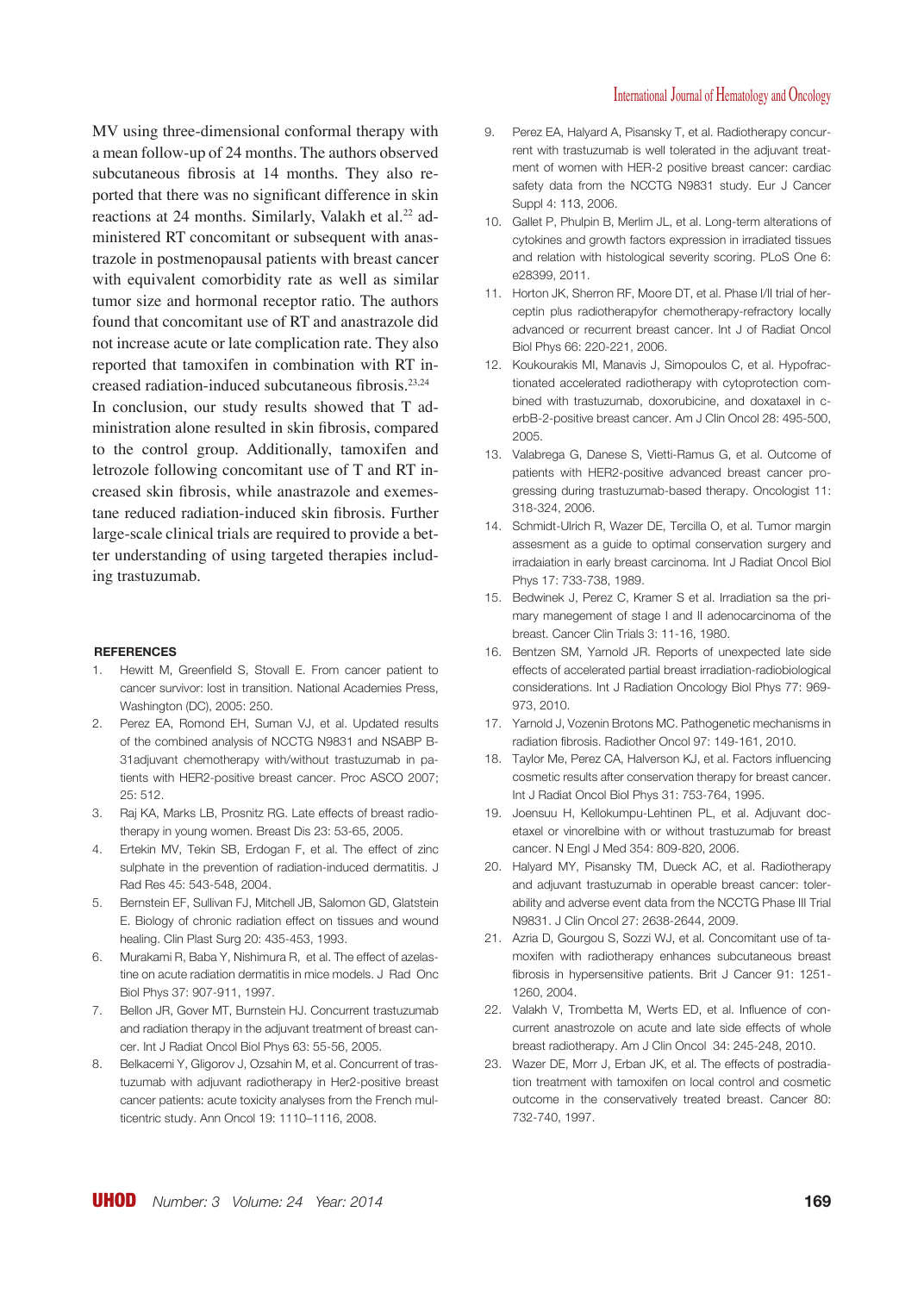MV using three-dimensional conformal therapy with a mean follow-up of 24 months. The authors observed subcutaneous fibrosis at 14 months. They also reported that there was no significant difference in skin reactions at 24 months. Similarly, Valakh et al.<sup>22</sup> administered RT concomitant or subsequent with anastrazole in postmenopausal patients with breast cancer with equivalent comorbidity rate as well as similar tumor size and hormonal receptor ratio. The authors found that concomitant use of RT and anastrazole did not increase acute or late complication rate. They also reported that tamoxifen in combination with RT increased radiation-induced subcutaneous fibrosis.23,24 In conclusion, our study results showed that T administration alone resulted in skin fibrosis, compared to the control group. Additionally, tamoxifen and letrozole following concomitant use of T and RT increased skin fibrosis, while anastrazole and exemestane reduced radiation-induced skin fibrosis. Further large-scale clinical trials are required to provide a better understanding of using targeted therapies including trastuzumab.

#### **REFERENCES**

- 1. Hewitt M, Greenfield S, Stovall E. From cancer patient to cancer survivor: lost in transition. National Academies Press, Washington (DC), 2005: 250.
- 2. Perez EA, Romond EH, Suman VJ, et al. Updated results of the combined analysis of NCCTG N9831 and NSABP B-31adjuvant chemotherapy with/without trastuzumab in patients with HER2-positive breast cancer. Proc ASCO 2007; 25: 512.
- 3. Raj KA, Marks LB, Prosnitz RG. Late effects of breast radiotherapy in young women. Breast Dis 23: 53-65, 2005.
- 4. Ertekin MV, Tekin SB, Erdogan F, et al. The effect of zinc sulphate in the prevention of radiation-induced dermatitis. J Rad Res 45: 543-548, 2004.
- 5. Bernstein EF, Sullivan FJ, Mitchell JB, Salomon GD, Glatstein E. Biology of chronic radiation effect on tissues and wound healing. Clin Plast Surg 20: 435-453, 1993.
- 6. Murakami R, Baba Y, Nishimura R, et al. The effect of azelastine on acute radiation dermatitis in mice models. J Rad Onc Biol Phys 37: 907-911, 1997.
- 7. Bellon JR, Gover MT, Burnstein HJ. Concurrent trastuzumab and radiation therapy in the adjuvant treatment of breast cancer. Int J Radiat Oncol Biol Phys 63: 55-56, 2005.
- 8. Belkacemi Y, Gligorov J, Ozsahin M, et al. Concurrent of trastuzumab with adjuvant radiotherapy in Her2-positive breast cancer patients: acute toxicity analyses from the French multicentric study. Ann Oncol 19: 1110–1116, 2008.
- 9. Perez EA, Halyard A, Pisansky T, et al. Radiotherapy concurrent with trastuzumab is well tolerated in the adjuvant treatment of women with HER-2 positive breast cancer: cardiac safety data from the NCCTG N9831 study. Eur J Cancer Suppl 4: 113, 2006.
- 10. Gallet P, Phulpin B, Merlim JL, et al. Long-term alterations of cytokines and growth factors expression in irradiated tissues and relation with histological severity scoring. PLoS One 6: e28399, 2011.
- 11. Horton JK, Sherron RF, Moore DT, et al. Phase I/II trial of herceptin plus radiotherapyfor chemotherapy-refractory locally advanced or recurrent breast cancer. Int J of Radiat Oncol Biol Phys 66: 220-221, 2006.
- 12. Koukourakis MI, Manavis J, Simopoulos C, et al. Hypofractionated accelerated radiotherapy with cytoprotection combined with trastuzumab, doxorubicine, and doxataxel in cerbB-2-positive breast cancer. Am J Clin Oncol 28: 495-500, 2005.
- 13. Valabrega G, Danese S, Vietti-Ramus G, et al. Outcome of patients with HER2-positive advanced breast cancer progressing during trastuzumab-based therapy. Oncologist 11: 318-324, 2006.
- 14. Schmidt-Ulrich R, Wazer DE, Tercilla O, et al. Tumor margin assesment as a guide to optimal conservation surgery and irradaiation in early breast carcinoma. Int J Radiat Oncol Biol Phys 17: 733-738, 1989.
- 15. Bedwinek J, Perez C, Kramer S et al. Irradiation sa the primary manegement of stage I and II adenocarcinoma of the breast. Cancer Clin Trials 3: 11-16, 1980.
- 16. Bentzen SM, Yarnold JR. Reports of unexpected late side effects of accelerated partial breast irradiation-radiobiological considerations. Int J Radiation Oncology Biol Phys 77: 969- 973, 2010.
- 17. Yarnold J, Vozenin Brotons MC. Pathogenetic mechanisms in radiation fibrosis. Radiother Oncol 97: 149-161, 2010.
- 18. Taylor Me, Perez CA, Halverson KJ, et al. Factors influencing cosmetic results after conservation therapy for breast cancer. Int J Radiat Oncol Biol Phys 31: 753-764, 1995.
- 19. Joensuu H, Kellokumpu-Lehtinen PL, et al. Adjuvant docetaxel or vinorelbine with or without trastuzumab for breast cancer. N Engl J Med 354: 809-820, 2006.
- 20. Halyard MY, Pisansky TM, Dueck AC, et al. Radiotherapy and adjuvant trastuzumab in operable breast cancer: tolerability and adverse event data from the NCCTG Phase III Trial N9831. J Clin Oncol 27: 2638-2644, 2009.
- 21. Azria D, Gourgou S, Sozzi WJ, et al. Concomitant use of tamoxifen with radiotherapy enhances subcutaneous breast fibrosis in hypersensitive patients. Brit J Cancer 91: 1251- 1260, 2004.
- 22. Valakh V, Trombetta M, Werts ED, et al. Influence of concurrent anastrozole on acute and late side effects of whole breast radiotherapy. Am J Clin Oncol 34: 245-248, 2010.
- 23. Wazer DE, Morr J, Erban JK, et al. The effects of postradiation treatment with tamoxifen on local control and cosmetic outcome in the conservatively treated breast. Cancer 80: 732-740, 1997.